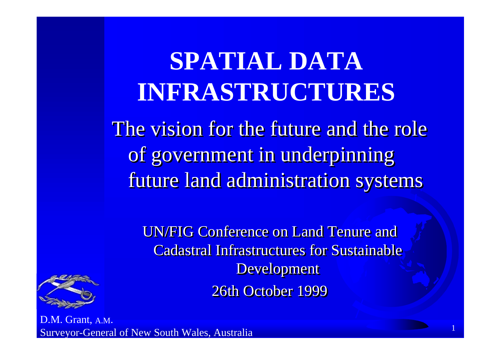### **SPATIAL DATA INFRASTRUCTURES**

The vision for the future and the role of government in underpinning future land administration systems future land administration systems future land administration systems

UN/FIG Conference on Land Tenure and **Cadastral Infrastructures for Sustainable** Development 26th October 1999

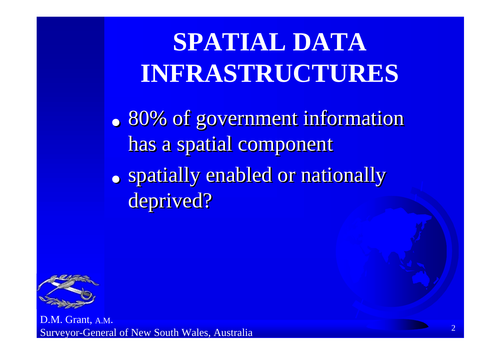# **SPATIAL DATA INFRASTRUCTURES**

• 80% of government information has a spatial component ●**80% of government information** 

• spatially enabled or nationally deprived? ●**• spatially enabled or nationally** 

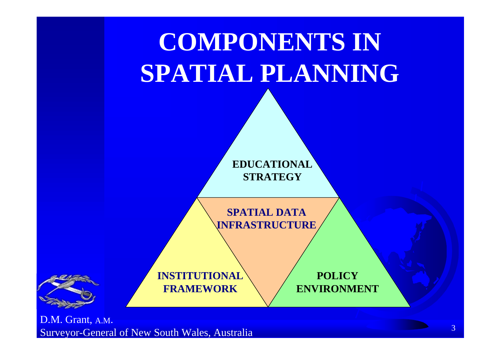

Surveyor-General of New South Wales, Australia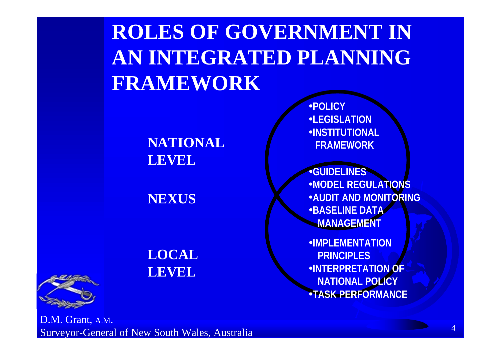#### **ROLES OF GOVERNMENT IN AN INTEGRATED PLANNINGFRAMEWORK**

**NATIONAL** LEVEL

**NEXUS**

**LOCALLEVEL**

•**POLICY**•**LEGISLATION**•**INSTITUTIONAL FRAMEWORK**

•**GUIDELINES** •**MODEL REGULATIONS**•**AUDIT AND MONITORING**•**BASELINE DATA MANAGEMENT**

•**IMPLEMENTATION PRINCIPLES**•**INTERPRETATION OF NATIONAL POLICY** •**TASK PERFORMANCE**

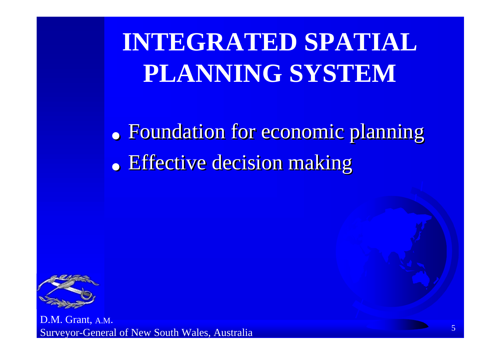**INTEGRATED SPATIAL PLANNING SYSTEM**

• Foundation for economic planning • Effective decision making ●**• Foundation for economic planning 。 Effective decision making** 

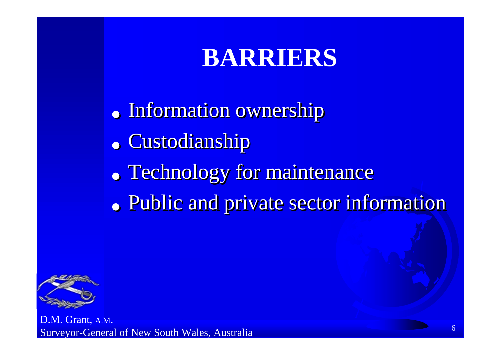### **BARRIERS**

- Information ownership ●**• Information ownership**
- Custodianship **。 • Custodianship**
- Technology for maintenance ●**• Technology for maintenance**
- Public and private sector information ●**• Public and private sector information**